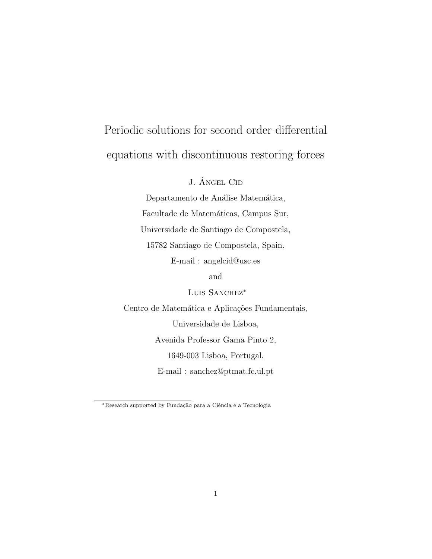# Periodic solutions for second order differential equations with discontinuous restoring forces

J. **ÁNGEL CID** 

Departamento de Análise Matemática, Facultade de Matemáticas, Campus Sur, Universidade de Santiago de Compostela, 15782 Santiago de Compostela, Spain. E-mail : angelcid@usc.es

and

LUIS SANCHEZ<sup>\*</sup>

Centro de Matemática e Aplicações Fundamentais, Universidade de Lisboa, Avenida Professor Gama Pinto 2, 1649-003 Lisboa, Portugal. E-mail : sanchez@ptmat.fc.ul.pt

<sup>\*</sup>Research supported by Fundação para a Ciência e a Tecnologia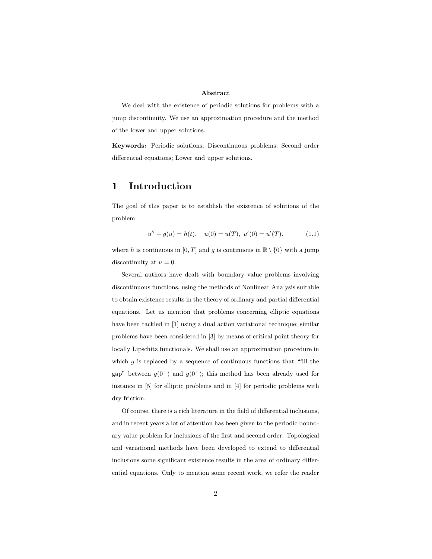#### Abstract

We deal with the existence of periodic solutions for problems with a jump discontinuity. We use an approximation procedure and the method of the lower and upper solutions.

Keywords: Periodic solutions; Discontinuous problems; Second order differential equations; Lower and upper solutions.

# 1 Introduction

The goal of this paper is to establish the existence of solutions of the problem

$$
u'' + g(u) = h(t), \quad u(0) = u(T), \ u'(0) = u'(T). \tag{1.1}
$$

where h is continuous in [0, T] and g is continuous in  $\mathbb{R} \setminus \{0\}$  with a jump discontinuity at  $u = 0$ .

Several authors have dealt with boundary value problems involving discontinuous functions, using the methods of Nonlinear Analysis suitable to obtain existence results in the theory of ordinary and partial differential equations. Let us mention that problems concerning elliptic equations have been tackled in [1] using a dual action variational technique; similar problems have been considered in [3] by means of critical point theory for locally Lipschitz functionals. We shall use an approximation procedure in which  $g$  is replaced by a sequence of continuous functions that "fill the gap" between  $g(0^-)$  and  $g(0^+)$ ; this method has been already used for instance in [5] for elliptic problems and in [4] for periodic problems with dry friction.

Of course, there is a rich literature in the field of differential inclusions, and in recent years a lot of attention has been given to the periodic boundary value problem for inclusions of the first and second order. Topological and variational methods have been developed to extend to differential inclusions some significant existence results in the area of ordinary differential equations. Only to mention some recent work, we refer the reader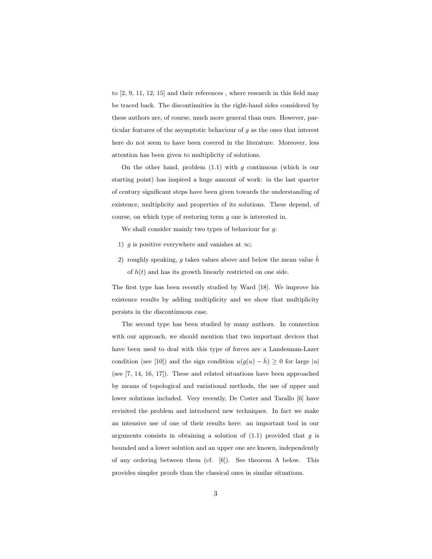to [2, 9, 11, 12, 15] and their references , where research in this field may be traced back. The discontinuities in the right-hand sides considered by these authors are, of course, much more general than ours. However, particular features of the asymptotic behaviour of  $g$  as the ones that interest here do not seem to have been covered in the literature. Moreover, less attention has been given to multiplicity of solutions.

On the other hand, problem  $(1.1)$  with g continuous (which is our starting point) has inspired a huge amount of work: in the last quarter of century significant steps have been given towards the understanding of existence, multiplicity and properties of its solutions. These depend, of course, on which type of restoring term g one is interested in.

We shall consider mainly two types of behaviour for g:

- 1) g is positive everywhere and vanishes at  $\infty$ ;
- 2) roughly speaking, g takes values above and below the mean value  $\bar{h}$ of  $h(t)$  and has its growth linearly restricted on one side.

The first type has been recently studied by Ward [18]. We improve his existence results by adding multiplicity and we show that multiplicity persists in the discontinuous case.

The second type has been studied by many authors. In connection with our approach, we should mention that two important devices that have been used to deal with this type of forces are a Landesman-Lazer condition (see [10]) and the sign condition  $u(g(u) - \bar{h}) \geq 0$  for large |u| (see [7, 14, 16, 17]). These and related situations have been approached by means of topological and variational methods, the use of upper and lower solutions included. Very recently, De Coster and Tarallo [6] have revisited the problem and introduced new techniques. In fact we make an intensive use of one of their results here: an important tool in our arguments consists in obtaining a solution of  $(1.1)$  provided that q is bounded and a lower solution and an upper one are known, independently of any ordering between them (cf. [6]). See theorem A below. This provides simpler proofs than the classical ones in similar situations.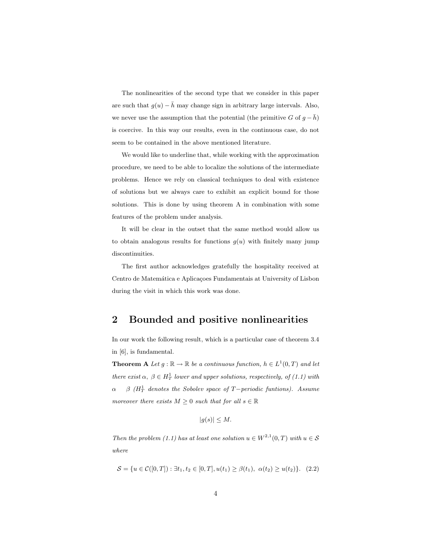The nonlinearities of the second type that we consider in this paper are such that  $g(u) - \bar{h}$  may change sign in arbitrary large intervals. Also, we never use the assumption that the potential (the primitive G of  $g - \bar{h}$ ) is coercive. In this way our results, even in the continuous case, do not seem to be contained in the above mentioned literature.

We would like to underline that, while working with the approximation procedure, we need to be able to localize the solutions of the intermediate problems. Hence we rely on classical techniques to deal with existence of solutions but we always care to exhibit an explicit bound for those solutions. This is done by using theorem A in combination with some features of the problem under analysis.

It will be clear in the outset that the same method would allow us to obtain analogous results for functions  $g(u)$  with finitely many jump discontinuities.

The first author acknowledges gratefully the hospitality received at Centro de Matemática e Aplicações Fundamentais at University of Lisbon during the visit in which this work was done.

# 2 Bounded and positive nonlinearities

In our work the following result, which is a particular case of theorem 3.4 in [6], is fundamental.

**Theorem A** Let  $g : \mathbb{R} \to \mathbb{R}$  be a continuous function,  $h \in L^1(0,T)$  and let there exist  $\alpha, \beta \in H_T^1$  lower and upper solutions, respectively, of (1.1) with  $\alpha$  β (H<sub>T</sub> denotes the Sobolev space of T−periodic funtions). Assume moreover there exists  $M \geq 0$  such that for all  $s \in \mathbb{R}$ 

$$
|g(s)| \leq M.
$$

Then the problem (1.1) has at least one solution  $u \in W^{2,1}(0,T)$  with  $u \in \mathcal{S}$ where

$$
S = \{u \in C([0, T]) : \exists t_1, t_2 \in [0, T], u(t_1) \ge \beta(t_1), \alpha(t_2) \ge u(t_2)\}.
$$
 (2.2)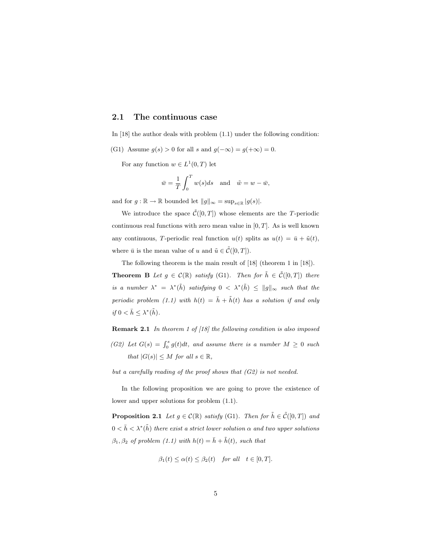## 2.1 The continuous case

In [18] the author deals with problem  $(1.1)$  under the following condition:

(G1) Assume  $g(s) > 0$  for all s and  $g(-\infty) = g(+\infty) = 0$ .

For any function  $w \in L^1(0,T)$  let

$$
\bar{w} = \frac{1}{T} \int_0^T w(s) ds \quad \text{and} \quad \tilde{w} = w - \bar{w},
$$

and for  $g : \mathbb{R} \to \mathbb{R}$  bounded let  $||g||_{\infty} = \sup_{s \in \mathbb{R}} |g(s)|$ .

We introduce the space  $\tilde{\mathcal{C}}([0,T])$  whose elements are the T-periodic continuous real functions with zero mean value in  $[0, T]$ . As is well known any continuous, T-periodic real function  $u(t)$  splits as  $u(t) = \bar{u} + \tilde{u}(t)$ , where  $\bar{u}$  is the mean value of u and  $\tilde{u} \in \tilde{\mathcal{C}}([0,T])$ .

The following theorem is the main result of [18] (theorem 1 in [18]).

**Theorem B** Let  $g \in \mathcal{C}(\mathbb{R})$  satisfy (G1). Then for  $\tilde{h} \in \tilde{\mathcal{C}}([0,T])$  there is a number  $\lambda^* = \lambda^*(\tilde{h})$  satisfying  $0 < \lambda^*(\tilde{h}) \le ||g||_{\infty}$  such that the periodic problem (1.1) with  $h(t) = \bar{h} + \tilde{h}(t)$  has a solution if and only if  $0 < \bar{h} \leq \lambda^*(\tilde{h})$ .

Remark 2.1 In theorem 1 of [18] the following condition is also imposed

(G2) Let  $G(s) = \int_0^s g(t)dt$ , and assume there is a number  $M \geq 0$  such that  $|G(s)| \leq M$  for all  $s \in \mathbb{R}$ ,

but a carefully reading of the proof shows that (G2) is not needed.

In the following proposition we are going to prove the existence of lower and upper solutions for problem (1.1).

**Proposition 2.1** Let  $g \in \mathcal{C}(\mathbb{R})$  satisfy (G1). Then for  $\tilde{h} \in \tilde{\mathcal{C}}([0,T])$  and  $0 < \bar{h} < \lambda^*(\tilde{h})$  there exist a strict lower solution  $\alpha$  and two upper solutions  $\beta_1, \beta_2$  of problem (1.1) with  $h(t) = \bar{h} + \tilde{h}(t)$ , such that

$$
\beta_1(t) \le \alpha(t) \le \beta_2(t) \quad \text{for all} \quad t \in [0, T].
$$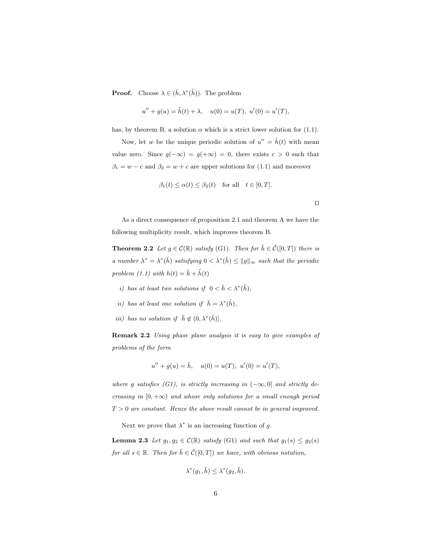**Proof.** Choose  $\lambda \in (\bar{h}, \lambda^*(\tilde{h}))$ . The problem

$$
u'' + g(u) = \tilde{h}(t) + \lambda, \quad u(0) = u(T), \ u'(0) = u'(T),
$$

has, by theorem B, a solution  $\alpha$  which is a strict lower solution for (1.1).

Now, let w be the unique periodic solution of  $u'' = \tilde{h}(t)$  with mean value zero. Since  $g(-\infty) = g(+\infty) = 0$ , there exists  $c > 0$  such that  $\beta_1 = w - c$  and  $\beta_2 = w + c$  are upper solutions for (1.1) and moreover

$$
\beta_1(t) \leq \alpha(t) \leq \beta_2(t)
$$
 for all  $t \in [0, T]$ .

As a direct consequence of proposition 2.1 and theorem A we have the following multiplicity result, which improves theorem B.

 $\Box$ 

**Theorem 2.2** Let  $g \in \mathcal{C}(\mathbb{R})$  satisfy (G1). Then for  $\tilde{h} \in \tilde{\mathcal{C}}([0,T])$  there is a number  $\lambda^* = \lambda^*(\tilde{h})$  satisfying  $0 < \lambda^*(\tilde{h}) \le ||g||_{\infty}$  such that the periodic problem (1.1) with  $h(t) = \bar{h} + \tilde{h}(t)$ 

- i) has at least two solutions if  $0 < \bar{h} < \lambda^*(\tilde{h})$ ,
- ii) has at least one solution if  $\bar{h} = \lambda^*(\tilde{h}),$
- *iii*) has no solution if  $\bar{h} \notin (0, \lambda^*(\tilde{h}))$ .

Remark 2.2 Using phase plane analysis it is easy to give examples of problems of the form

$$
u'' + g(u) = \bar{h}, \quad u(0) = u(T), \ u'(0) = u'(T),
$$

where g satisfies (G1), is strictly increasing in  $(-\infty, 0]$  and strictly decreasing in  $[0, +\infty)$  and whose only solutions for a small enough period  $T > 0$  are constant. Hence the above result cannot be in general improved.

Next we prove that  $\lambda^*$  is an increasing function of g.

**Lemma 2.3** Let  $g_1, g_2 \in \mathcal{C}(\mathbb{R})$  satisfy (G1) and such that  $g_1(s) \leq g_2(s)$ for all  $s \in \mathbb{R}$ . Then for  $\tilde{h} \in \tilde{\mathcal{C}}([0,T])$  we have, with obvious notation,

$$
\lambda^*(g_1,\tilde{h}) \leq \lambda^*(g_2,\tilde{h}).
$$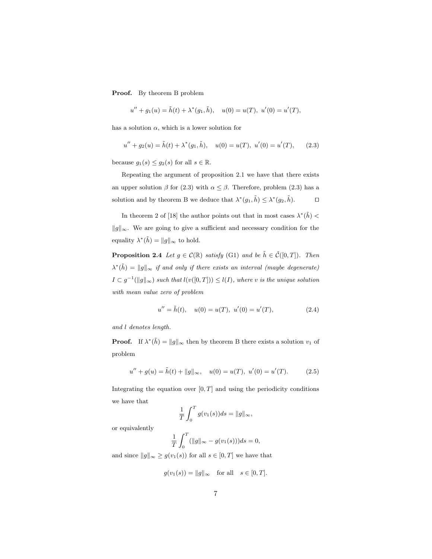Proof. By theorem B problem

 $u'' + g_1(u) = \tilde{h}(t) + \lambda^*(g_1, \tilde{h}), \quad u(0) = u(T), \ u'(0) = u'(T),$ 

has a solution  $\alpha$ , which is a lower solution for

$$
u'' + g_2(u) = \tilde{h}(t) + \lambda^*(g_1, \tilde{h}), \quad u(0) = u(T), \ u'(0) = u'(T), \qquad (2.3)
$$

because  $g_1(s) \le g_2(s)$  for all  $s \in \mathbb{R}$ .

Repeating the argument of proposition 2.1 we have that there exists an upper solution  $\beta$  for (2.3) with  $\alpha \leq \beta$ . Therefore, problem (2.3) has a solution and by theorem B we deduce that  $\lambda^*(g_1, \tilde{h}) \leq \lambda^*(g_2, \tilde{h})$ .

In theorem 2 of [18] the author points out that in most cases  $\lambda^*(\tilde{h})$  <  $||g||_{\infty}$ . We are going to give a sufficient and necessary condition for the equality  $\lambda^*(\tilde{h}) = ||g||_{\infty}$  to hold.

**Proposition 2.4** Let  $g \in \mathcal{C}(\mathbb{R})$  satisfy (G1) and be  $\tilde{h} \in \tilde{\mathcal{C}}([0,T])$ . Then  $\lambda^*(\tilde{h}) = ||g||_{\infty}$  if and only if there exists an interval (maybe degenerate)  $I \subset g^{-1}(\|g\|_{\infty})$  such that  $l(v([0,T])) \leq l(I)$ , where v is the unique solution with mean value zero of problem

$$
u'' = \tilde{h}(t), \quad u(0) = u(T), \ u'(0) = u'(T), \tag{2.4}
$$

and l denotes length.

**Proof.** If  $\lambda^*(\tilde{h}) = ||g||_{\infty}$  then by theorem B there exists a solution  $v_1$  of problem

$$
u'' + g(u) = \tilde{h}(t) + ||g||_{\infty}, \quad u(0) = u(T), \ u'(0) = u'(T). \tag{2.5}
$$

Integrating the equation over  $[0, T]$  and using the periodicity conditions we have that

$$
\frac{1}{T} \int_0^T g(v_1(s))ds = ||g||_{\infty},
$$

or equivalently

$$
\frac{1}{T} \int_0^T (\|g\|_{\infty} - g(v_1(s))) ds = 0,
$$

and since  $||g||_{\infty} \ge g(v_1(s))$  for all  $s \in [0, T]$  we have that

$$
g(v_1(s)) = ||g||_{\infty} \quad \text{for all} \quad s \in [0, T].
$$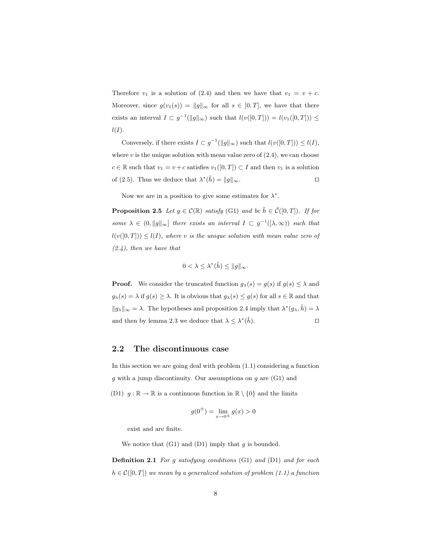Therefore  $v_1$  is a solution of (2.4) and then we have that  $v_1 = v + c$ . Moreover, since  $g(v_1(s)) = ||g||_{\infty}$  for all  $s \in [0, T]$ , we have that there exists an interval  $I \subset g^{-1}(\|g\|_{\infty})$  such that  $l(v([0,T])) = l(v_1([0,T])) \leq$  $l(I).$ 

Conversely, if there exists  $I \subset g^{-1}(\|g\|_{\infty})$  such that  $l(v([0,T])) \leq l(I)$ , where  $v$  is the unique solution with mean value zero of  $(2.4)$ , we can choose  $c \in \mathbb{R}$  such that  $v_1 = v + c$  satisfies  $v_1([0,T]) \subset I$  and then  $v_1$  is a solution of (2.5). Thus we deduce that  $\lambda^*(\tilde{h}) = ||g||_{\infty}$ .

Now we are in a position to give some estimates for  $\lambda^*$ .

**Proposition 2.5** Let  $g \in \mathcal{C}(\mathbb{R})$  satisfy (G1) and be  $\tilde{h} \in \tilde{\mathcal{C}}([0,T])$ . If for some  $\lambda \in (0, \|g\|_{\infty}]$  there exists an interval  $I \subset g^{-1}([\lambda, \infty))$  such that  $l(v([0,T])) \leq l(I)$ , where v is the unique solution with mean value zero of  $(2.4)$ , then we have that

$$
0 < \lambda \leq \lambda^*(\tilde{h}) \leq \|g\|_{\infty}.
$$

**Proof.** We consider the truncated function  $g_{\lambda}(s) = g(s)$  if  $g(s) \leq \lambda$  and  $g_{\lambda}(s) = \lambda$  if  $g(s) \geq \lambda$ . It is obvious that  $g_{\lambda}(s) \leq g(s)$  for all  $s \in \mathbb{R}$  and that  $||g_{\lambda}||_{\infty} = \lambda$ . The hypotheses and proposition 2.4 imply that  $\lambda^*(g_{\lambda}, \tilde{h}) = \lambda$ and then by lemma 2.3 we deduce that  $\lambda \leq \lambda^*(\tilde{h})$ .

## 2.2 The discontinuous case

In this section we are going deal with problem (1.1) considering a function g with a jump discontinuity. Our assumptions on  $g$  are  $(G1)$  and (D1)  $g : \mathbb{R} \to \mathbb{R}$  is a continuous function in  $\mathbb{R} \setminus \{0\}$  and the limits

$$
g(0^{\pm}) = \lim_{x \to 0^{\pm}} g(x) > 0
$$

exist and are finite.

We notice that  $(G1)$  and  $(D1)$  imply that g is bounded.

Definition 2.1 For g satisfying conditions (G1) and (D1) and for each  $h \in \mathcal{C}([0,T])$  we mean by a generalized solution of problem (1.1) a function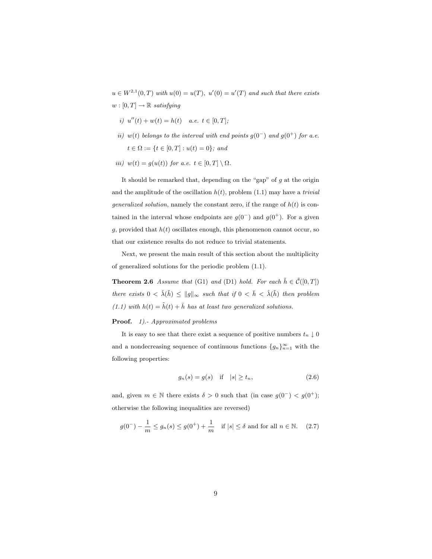$u \in W^{2,1}(0,T)$  with  $u(0) = u(T)$ ,  $u'(0) = u'(T)$  and such that there exists  $w : [0, T] \rightarrow \mathbb{R}$  satisfying

- i)  $u''(t) + w(t) = h(t)$  a.e.  $t \in [0, T]$ ;
- ii) w(t) belongs to the interval with end points  $g(0^-)$  and  $g(0^+)$  for a.e.  $t \in \Omega := \{t \in [0, T] : u(t) = 0\};$  and
- iii)  $w(t) = g(u(t))$  for a.e.  $t \in [0, T] \setminus \Omega$ .

It should be remarked that, depending on the "gap" of  $g$  at the origin and the amplitude of the oscillation  $h(t)$ , problem (1.1) may have a *trivial generalized solution*, namely the constant zero, if the range of  $h(t)$  is contained in the interval whose endpoints are  $g(0^-)$  and  $g(0^+)$ . For a given g, provided that  $h(t)$  oscillates enough, this phenomenon cannot occur, so that our existence results do not reduce to trivial statements.

Next, we present the main result of this section about the multiplicity of generalized solutions for the periodic problem (1.1).

**Theorem 2.6** Assume that (G1) and (D1) hold. For each  $\tilde{h} \in \tilde{C}([0,T])$ there exists  $0 < \hat{\lambda}(\tilde{h}) \leq ||g||_{\infty}$  such that if  $0 < \bar{h} < \hat{\lambda}(\tilde{h})$  then problem (1.1) with  $h(t) = \tilde{h}(t) + \bar{h}$  has at least two generalized solutions.

#### Proof. 1).- Approximated problems

It is easy to see that there exist a sequence of positive numbers  $t_n \downarrow 0$ and a nondecreasing sequence of continuous functions  ${g_n}_{n=1}^{\infty}$  with the following properties:

$$
g_n(s) = g(s) \quad \text{if} \quad |s| \ge t_n,\tag{2.6}
$$

and, given  $m \in \mathbb{N}$  there exists  $\delta > 0$  such that (in case  $g(0^-) < g(0^+);$ otherwise the following inequalities are reversed)

$$
g(0^-) - \frac{1}{m} \le g_n(s) \le g(0^+) + \frac{1}{m}
$$
 if  $|s| \le \delta$  and for all  $n \in \mathbb{N}$ . (2.7)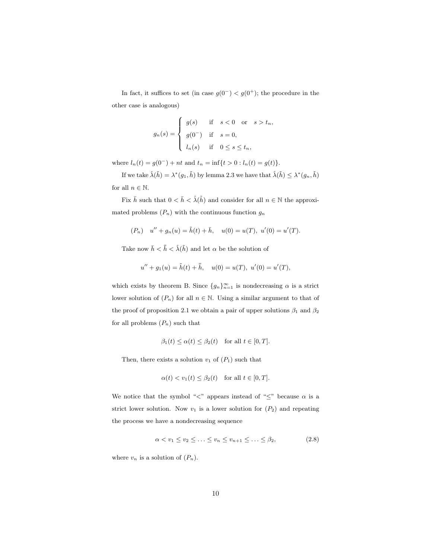In fact, it suffices to set (in case  $g(0^-) < g(0^+)$ ; the procedure in the other case is analogous)

$$
g_n(s) = \begin{cases} g(s) & \text{if } s < 0 \text{ or } s > t_n, \\ g(0^-) & \text{if } s = 0, \\ l_n(s) & \text{if } 0 \le s \le t_n, \end{cases}
$$

where  $l_n(t) = g(0^-) + nt$  and  $t_n = \inf\{t > 0 : l_n(t) = g(t)\}.$ 

If we take  $\hat{\lambda}(\tilde{h}) = \lambda^*(g_1, \tilde{h})$  by lemma 2.3 we have that  $\hat{\lambda}(\tilde{h}) \leq \lambda^*(g_n, \tilde{h})$ for all  $n \in \mathbb{N}$ .

Fix  $\bar{h}$  such that  $0 < \bar{h} < \hat{\lambda}(\tilde{h})$  and consider for all  $n \in \mathbb{N}$  the approximated problems  $(P_n)$  with the continuous function  $g_n$ 

$$
(P_n) \t u'' + g_n(u) = \tilde{h}(t) + \bar{h}, \t u(0) = u(T), \t u'(0) = u'(T).
$$

Take now  $\bar{h} < \bar{h} < \hat{\lambda}(\tilde{h})$  and let  $\alpha$  be the solution of

$$
u'' + g_1(u) = \tilde{h}(t) + \bar{\bar{h}}, \quad u(0) = u(T), \ u'(0) = u'(T),
$$

which exists by theorem B. Since  $\{g_n\}_{n=1}^{\infty}$  is nondecreasing  $\alpha$  is a strict lower solution of  $(P_n)$  for all  $n \in \mathbb{N}$ . Using a similar argument to that of the proof of proposition 2.1 we obtain a pair of upper solutions  $\beta_1$  and  $\beta_2$ for all problems  $(P_n)$  such that

$$
\beta_1(t) \le \alpha(t) \le \beta_2(t) \quad \text{for all } t \in [0, T].
$$

Then, there exists a solution  $v_1$  of  $(P_1)$  such that

$$
\alpha(t) < v_1(t) \leq \beta_2(t) \quad \text{for all } t \in [0, T].
$$

We notice that the symbol "<" appears instead of " $\leq$ " because  $\alpha$  is a strict lower solution. Now  $v_1$  is a lower solution for  $(P_2)$  and repeating the process we have a nondecreasing sequence

$$
\alpha < v_1 \le v_2 \le \ldots \le v_n \le v_{n+1} \le \ldots \le \beta_2,\tag{2.8}
$$

where  $v_n$  is a solution of  $(P_n)$ .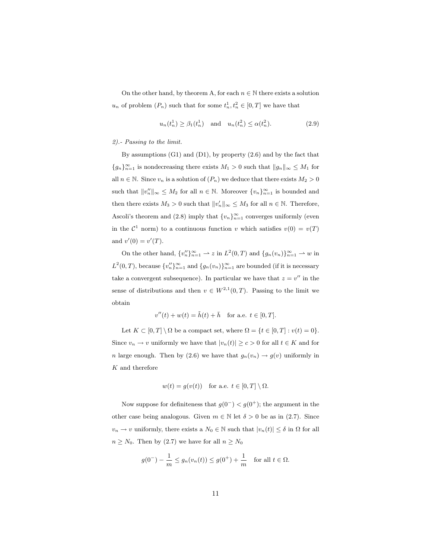On the other hand, by theorem A, for each  $n \in \mathbb{N}$  there exists a solution  $u_n$  of problem  $(P_n)$  such that for some  $t_n^1, t_n^2 \in [0, T]$  we have that

$$
u_n(t_n^1) \ge \beta_1(t_n^1)
$$
 and  $u_n(t_n^2) \le \alpha(t_n^2)$ . (2.9)

#### 2).- Passing to the limit.

By assumptions (G1) and (D1), by property (2.6) and by the fact that  ${g_n}_{n=1}^{\infty}$  is nondecreasing there exists  $M_1 > 0$  such that  $||g_n||_{\infty} \leq M_1$  for all  $n \in \mathbb{N}$ . Since  $v_n$  is a solution of  $(P_n)$  we deduce that there exists  $M_2 > 0$ such that  $||v_n'||_{\infty} \leq M_2$  for all  $n \in \mathbb{N}$ . Moreover  $\{v_n\}_{n=1}^{\infty}$  is bounded and then there exists  $M_3 > 0$  such that  $||v'_n||_{\infty} \leq M_3$  for all  $n \in \mathbb{N}$ . Therefore, Ascoli's theorem and (2.8) imply that  ${v_n}_{n=1}^{\infty}$  converges uniformly (even in the  $\mathcal{C}^1$  norm) to a continuous function v which satisfies  $v(0) = v(T)$ and  $v'(0) = v'(T)$ .

On the other hand,  $\{v_n''\}_{n=1}^{\infty} \to z$  in  $L^2(0,T)$  and  $\{g_n(v_n)\}_{n=1}^{\infty} \to w$  in  $L^2(0,T)$ , because  $\{v''_n\}_{n=1}^{\infty}$  and  $\{g_n(v_n)\}_{n=1}^{\infty}$  are bounded (if it is necessary take a convergent subsequence). In particular we have that  $z = v''$  in the sense of distributions and then  $v \in W^{2,1}(0,T)$ . Passing to the limit we obtain

$$
v''(t) + w(t) = \tilde{h}(t) + \bar{h} \quad \text{for a.e. } t \in [0, T].
$$

Let  $K \subset [0, T] \setminus \Omega$  be a compact set, where  $\Omega = \{t \in [0, T] : v(t) = 0\}.$ Since  $v_n \to v$  uniformly we have that  $|v_n(t)| \ge c > 0$  for all  $t \in K$  and for n large enough. Then by (2.6) we have that  $g_n(v_n) \to g(v)$  uniformly in  ${\cal K}$  and therefore

$$
w(t) = g(v(t))
$$
 for a.e.  $t \in [0, T] \setminus \Omega$ .

Now suppose for definiteness that  $g(0^-) < g(0^+)$ ; the argument in the other case being analogous. Given  $m \in \mathbb{N}$  let  $\delta > 0$  be as in (2.7). Since  $v_n \to v$  uniformly, there exists a  $N_0 \in \mathbb{N}$  such that  $|v_n(t)| \leq \delta$  in  $\Omega$  for all  $n \geq N_0$ . Then by (2.7) we have for all  $n \geq N_0$ 

$$
g(0^-) - \frac{1}{m} \le g_n(v_n(t)) \le g(0^+) + \frac{1}{m}
$$
 for all  $t \in \Omega$ .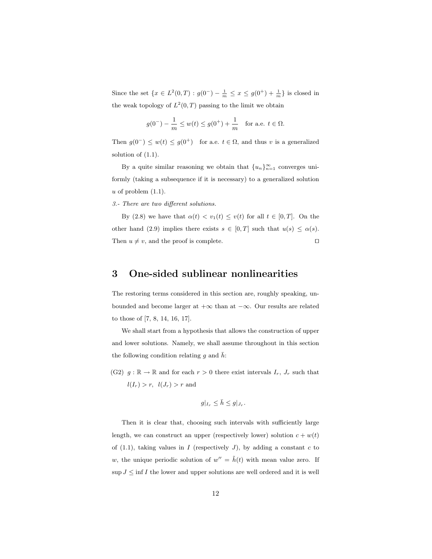Since the set  $\{x \in L^2(0,T) : g(0^-) - \frac{1}{m} \le x \le g(0^+) + \frac{1}{m}\}$  is closed in the weak topology of  $L^2(0,T)$  passing to the limit we obtain

$$
g(0^-) - \frac{1}{m} \le w(t) \le g(0^+) + \frac{1}{m}
$$
 for a.e.  $t \in \Omega$ .

Then  $g(0^-) \leq w(t) \leq g(0^+)$  for a.e.  $t \in \Omega$ , and thus v is a generalized solution of (1.1).

By a quite similar reasoning we obtain that  ${u_n}_{n=1}^{\infty}$  converges uniformly (taking a subsequence if it is necessary) to a generalized solution  $u$  of problem  $(1.1)$ .

3.- There are two different solutions.

By (2.8) we have that  $\alpha(t) < v_1(t) \le v(t)$  for all  $t \in [0, T]$ . On the other hand (2.9) implies there exists  $s \in [0, T]$  such that  $u(s) \leq \alpha(s)$ . Then  $u \neq v$ , and the proof is complete.

# 3 One-sided sublinear nonlinearities

The restoring terms considered in this section are, roughly speaking, unbounded and become larger at  $+\infty$  than at  $-\infty$ . Our results are related to those of [7, 8, 14, 16, 17].

We shall start from a hypothesis that allows the construction of upper and lower solutions. Namely, we shall assume throughout in this section the following condition relating q and  $h$ :

(G2)  $g : \mathbb{R} \to \mathbb{R}$  and for each  $r > 0$  there exist intervals  $I_r$ ,  $J_r$  such that  $l(I_r) > r$ ,  $l(J_r) > r$  and

$$
g|_{I_r}\leq \bar h\leq g|_{J_r}.
$$

Then it is clear that, choosing such intervals with sufficiently large length, we can construct an upper (respectively lower) solution  $c + w(t)$ of (1.1), taking values in  $I$  (respectively  $J$ ), by adding a constant  $c$  to w, the unique periodic solution of  $w'' = \tilde{h}(t)$  with mean value zero. If  $\sup J\leq \inf I$  the lower and upper solutions are well ordered and it is well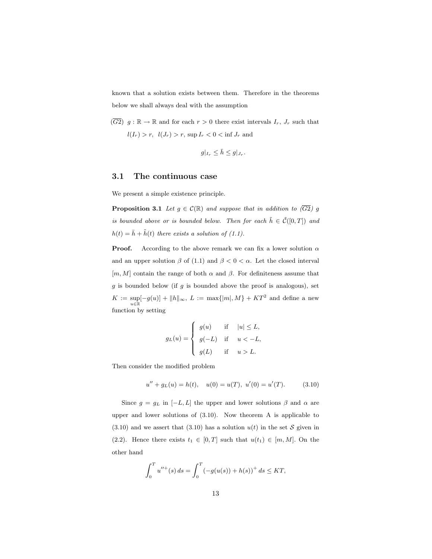known that a solution exists between them. Therefore in the theorems below we shall always deal with the assumption

 $(\overline{G2})$  g:  $\mathbb{R} \to \mathbb{R}$  and for each  $r > 0$  there exist intervals  $I_r$ ,  $J_r$  such that  $l(I_r) > r$ ,  $l(J_r) > r$ ,  $\sup I_r < 0 < \inf J_r$  and

$$
g|_{I_r} \leq \bar{h} \leq g|_{J_r}.
$$

## 3.1 The continuous case

We present a simple existence principle.

**Proposition 3.1** Let  $g \in \mathcal{C}(\mathbb{R})$  and suppose that in addition to  $(\overline{G2})$  g is bounded above or is bounded below. Then for each  $\tilde{h} \in \tilde{\mathcal{C}}([0,T])$  and  $h(t) = \bar{h} + \tilde{h}(t)$  there exists a solution of (1.1).

**Proof.** According to the above remark we can fix a lower solution  $\alpha$ and an upper solution  $\beta$  of (1.1) and  $\beta < 0 < \alpha$ . Let the closed interval  $[m, M]$  contain the range of both  $\alpha$  and  $\beta$ . For definiteness assume that  $g$  is bounded below (if  $g$  is bounded above the proof is analogous), set  $K := \sup_{u \in \mathbb{R}} [-g(u)] + ||h||_{\infty}, L := \max\{|m|, M\} + KT^2$  and define a new function by setting

$$
g_L(u) = \begin{cases} g(u) & \text{if} \quad |u| \le L, \\ g(-L) & \text{if} \quad u < -L, \\ g(L) & \text{if} \quad u > L. \end{cases}
$$

Then consider the modified problem

$$
u'' + g_L(u) = h(t), \quad u(0) = u(T), \ u'(0) = u'(T). \tag{3.10}
$$

Since  $g = g_L$  in  $[-L, L]$  the upper and lower solutions  $\beta$  and  $\alpha$  are upper and lower solutions of (3.10). Now theorem A is applicable to  $(3.10)$  and we assert that  $(3.10)$  has a solution  $u(t)$  in the set S given in (2.2). Hence there exists  $t_1 \in [0,T]$  such that  $u(t_1) \in [m,M]$ . On the other hand

$$
\int_0^T u''^+(s) ds = \int_0^T (-g(u(s)) + h(s))^+ ds \le KT,
$$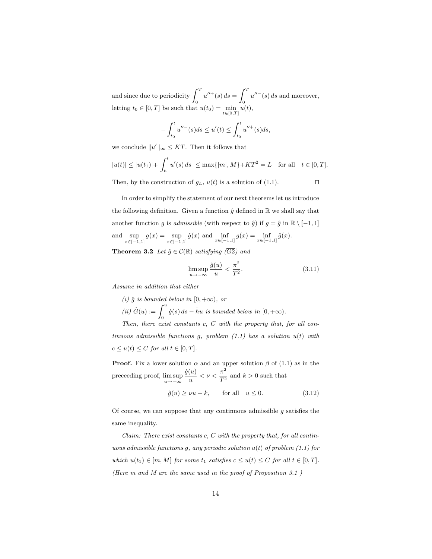and since due to periodicity  $\int_0^T u''^+(s) ds =$  $\overline{r}$  $\int_0^{\infty} u''(s) ds$  and moreover, letting  $t_0 \in [0, T]$  be such that  $u(t_0) = \min_{t \in [0, T]} u(t)$ ,

$$
-\int_{t_0}^t u''^-(s)ds \le u'(t) \le \int_{t_0}^t u''^+(s)ds,
$$

we conclude  $||u'||_{\infty} \leq KT$ . Then it follows that

$$
|u(t)| \le |u(t_1)| + \int_{t_1}^t u'(s) ds \le \max\{|m|, M\} + KT^2 = L \quad \text{for all} \quad t \in [0, T].
$$
  
Then, by the construction of  $q_L$ ,  $u(t)$  is a solution of (1.1).

In order to simplify the statement of our next theorems let us introduce the following definition. Given a function  $\hat{q}$  defined in  $\mathbb R$  we shall say that another function g is admissible (with respect to  $\hat{g}$ ) if  $g = \hat{g}$  in  $\mathbb{R} \setminus [-1, 1]$ and  $\sup_{x \in [-1,1]} g(x) = \sup_{x \in [-1,1]} \hat{g}(x)$  and  $\inf_{x \in [-1,1]} g(x) = \inf_{x \in [-1,1]} \hat{g}(x)$ .

**Theorem 3.2** Let  $\hat{g} \in \mathcal{C}(\mathbb{R})$  satisfying  $(\overline{G2})$  and

$$
\limsup_{u \to -\infty} \frac{\hat{g}(u)}{u} < \frac{\pi^2}{T^2}.\tag{3.11}
$$

Assume in addition that either

(i)  $\hat{g}$  is bounded below in [0, + $\infty$ ), or (i)  $\hat{G}(u) := \int_0^u \hat{g}(s) ds - \bar{h}u$  is bounded below in  $[0, +\infty)$ . Then, there exist constants  $c, C$  with the property that, for all continuous admissible functions g, problem  $(1.1)$  has a solution  $u(t)$  with  $c \leq u(t) \leq C$  for all  $t \in [0, T]$ .

**Proof.** Fix a lower solution  $\alpha$  and an upper solution  $\beta$  of (1.1) as in the preceeding proof,  $\limsup_{u \to -\infty}$  $\hat{g}(u)$  $\frac{(u)}{u} < \nu < \frac{\pi^2}{T^2}$  $\frac{\pi}{T^2}$  and  $k > 0$  such that

$$
\hat{g}(u) \ge \nu u - k, \qquad \text{for all} \quad u \le 0. \tag{3.12}
$$

Of course, we can suppose that any continuous admissible  $g$  satisfies the same inequality.

Claim: There exist constants  $c, C$  with the property that, for all continuous admissible functions g, any periodic solution  $u(t)$  of problem (1.1) for which  $u(t_1) \in [m, M]$  for some  $t_1$  satisfies  $c \leq u(t) \leq C$  for all  $t \in [0, T]$ . (Here m and M are the same used in the proof of Proposition 3.1 )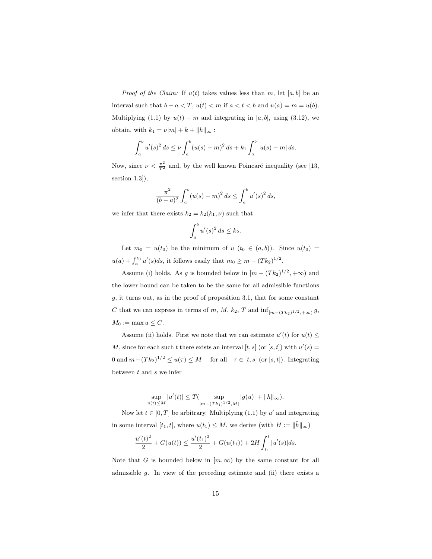*Proof of the Claim:* If  $u(t)$  takes values less than m, let [a, b] be an interval such that  $b - a < T$ ,  $u(t) < m$  if  $a < t < b$  and  $u(a) = m = u(b)$ . Multiplying (1.1) by  $u(t) - m$  and integrating in [a, b], using (3.12), we obtain, with  $k_1 = \nu |m| + k + ||h||_{\infty}$ :

$$
\int_a^b u'(s)^2 ds \le \nu \int_a^b (u(s) - m)^2 ds + k_1 \int_a^b |u(s) - m| ds.
$$

Now, since  $\nu < \frac{\pi^2}{T^2}$  and, by the well known Poincaré inequality (see [13, section 1.3]),

$$
\frac{\pi^2}{(b-a)^2} \int_a^b (u(s)-m)^2 ds \le \int_a^b u'(s)^2 ds,
$$

we infer that there exists  $k_2 = k_2(k_1, \nu)$  such that

$$
\int_a^b u'(s)^2 ds \le k_2.
$$

Let  $m_0 = u(t_0)$  be the minimum of  $u(t_0 \in (a, b))$ . Since  $u(t_0) =$  $u(a) + \int_a^{t_0} u'(s)ds$ , it follows easily that  $m_0 \ge m - (Tk_2)^{1/2}$ .

Assume (i) holds. As g is bounded below in  $[m - (Tk_2)^{1/2}, +\infty)$  and the lower bound can be taken to be the same for all admissible functions g, it turns out, as in the proof of proposition 3.1, that for some constant C that we can express in terms of m, M,  $k_2$ , T and  $\inf_{[m-(Tk_2)^{1/2},+\infty)} g$ ,  $M_0 := \max u \leq C.$ 

Assume (ii) holds. First we note that we can estimate  $u'(t)$  for  $u(t) \leq$ M, since for each such t there exists an interval [t, s] (or [s, t]) with  $u'(s) =$ 0 and  $m - (Tk_2)^{1/2} \le u(\tau) \le M$  for all  $\tau \in [t, s]$  (or  $[s, t]$ ). Integrating between  $t$  and  $s$  we infer

> $\sup_{u(t)\leq M} |u'(t)| \leq T(\sup_{[m-(Tk_1)]}$  $\sup_{[m-(Tk_1)^{1/2},M]} |g(u)| + ||h||_{\infty}).$

Now let  $t \in [0, T]$  be arbitrary. Multiplying (1.1) by u' and integrating in some interval  $[t_1, t]$ , where  $u(t_1) \leq M$ , we derive (with  $H := \|\tilde{h}\|_{\infty}$ )

$$
\frac{u'(t)^2}{2} + G(u(t)) \le \frac{u'(t_1)^2}{2} + G(u(t_1)) + 2H \int_{t_1}^t |u'(s)| ds.
$$

Note that G is bounded below in  $[m,\infty)$  by the same constant for all admissible g. In view of the preceding estimate and (ii) there exists a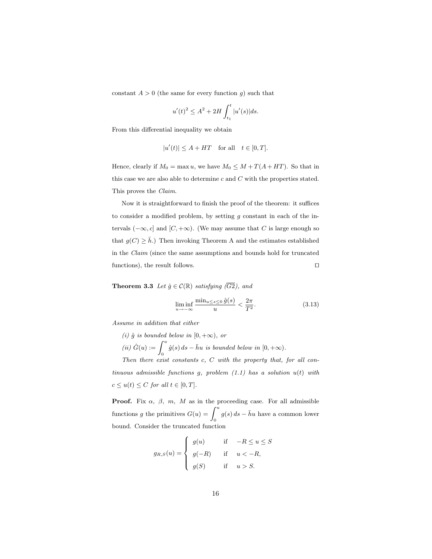constant  $A > 0$  (the same for every function g) such that

$$
u'(t)^{2} \leq A^{2} + 2H \int_{t_{1}}^{t} |u'(s)| ds.
$$

From this differential inequality we obtain

$$
|u'(t)| \le A + HT \quad \text{for all} \quad t \in [0, T].
$$

Hence, clearly if  $M_0 = \max u$ , we have  $M_0 \leq M + T(A + HT)$ . So that in this case we are also able to determine  $c$  and  $C$  with the properties stated. This proves the Claim.

Now it is straightforward to finish the proof of the theorem: it suffices to consider a modified problem, by setting  $g$  constant in each of the intervals  $(-\infty, c]$  and  $[C, +\infty)$ . (We may assume that C is large enough so that  $g(C) \geq \bar{h}$ .) Then invoking Theorem A and the estimates established in the Claim (since the same assumptions and bounds hold for truncated functions), the result follows.  $\Box$ 

**Theorem 3.3** Let  $\hat{g} \in \mathcal{C}(\mathbb{R})$  satisfying  $(\overline{G2})$ , and

$$
\liminf_{u \to -\infty} \frac{\min_{u \le s \le 0} \hat{g}(s)}{u} < \frac{2\pi}{T^2}.\tag{3.13}
$$

Assume in addition that either

(i)  $\hat{g}$  is bounded below in [0, + $\infty$ ), or (i)  $\hat{G}(u) := \int_0^u \hat{g}(s) ds - \bar{h}u$  is bounded below in  $[0, +\infty)$ . Then there exist constants c, C with the property that, for all con-

tinuous admissible functions  $g$ , problem  $(1.1)$  has a solution  $u(t)$  with  $c \le u(t) \le C$  for all  $t \in [0, T]$ .

**Proof.** Fix  $\alpha$ ,  $\beta$ ,  $m$ ,  $M$  as in the proceeding case. For all admissible functions g the primitives  $G(u) = \int_0^u g(s) ds - \bar{h}u$  have a common lower bound. Consider the truncated function

$$
g_{R,S}(u) = \begin{cases} g(u) & \text{if } -R \le u \le S \\ g(-R) & \text{if } u < -R, \\ g(S) & \text{if } u > S. \end{cases}
$$

 $\overline{a}$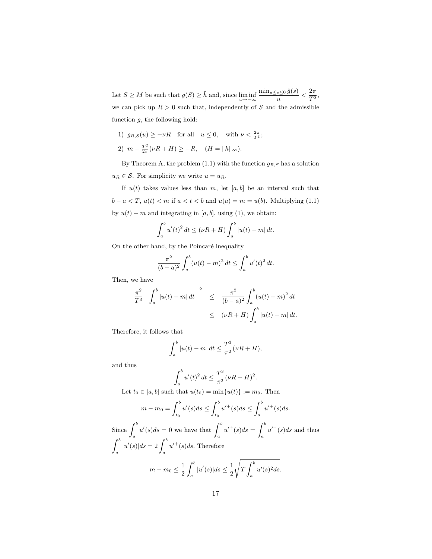Let  $S \geq M$  be such that  $g(S) \geq \bar{h}$  and, since  $\liminf_{u \to -\infty}$  $\min_{u \leq s \leq 0} \hat{g}(s)$  $\frac{s\leq 0 \hat{g}(s)}{u} < \frac{2\pi}{T^2}$  $\frac{2\pi}{T^2}$ , we can pick up  $R > 0$  such that, independently of S and the admissible function  $g$ , the following hold:

- 1)  $g_{R,S}(u) \geq -\nu R$  for all  $u \leq 0$ , with  $\nu < \frac{2\pi}{T^2}$ ;
- 2)  $m \frac{T^2}{2\pi}$  $\frac{T^2}{2\pi}(\nu R + H) \ge -R$ ,  $(H = ||h||_{\infty})$ .

By Theorem A, the problem  $(1.1)$  with the function  $g_{R,S}$  has a solution  $u_R \in \mathcal{S}$ . For simplicity we write  $u = u_R$ .

If  $u(t)$  takes values less than m, let  $[a, b]$  be an interval such that  $b - a < T$ ,  $u(t) < m$  if  $a < t < b$  and  $u(a) = m = u(b)$ . Multiplying (1.1) by  $u(t) - m$  and integrating in [a, b], using (1), we obtain:

$$
\int_{a}^{b} u'(t)^{2} dt \leq (\nu R + H) \int_{a}^{b} |u(t) - m| dt.
$$

On the other hand, by the Poincaré inequality

$$
\frac{\pi^2}{(b-a)^2} \int_a^b (u(t)-m)^2 dt \le \int_a^b u'(t)^2 dt.
$$

Then, we have

$$
\frac{\pi^2}{T^3} \int_a^b |u(t) - m| dt \stackrel{2}{\leq} \frac{\pi^2}{(b - a)^2} \int_a^b (u(t) - m)^2 dt
$$
  

$$
\leq (\nu R + H) \int_a^b |u(t) - m| dt.
$$

Therefore, it follows that

$$
\int_{a}^{b} |u(t) - m| dt \le \frac{T^3}{\pi^2} (\nu R + H),
$$

and thus

$$
\int_{a}^{b} u'(t)^{2} dt \le \frac{T^{3}}{\pi^{2}} (\nu R + H)^{2}.
$$

Let  $t_0 \in [a, b]$  such that  $u(t_0) = \min\{u(t)\} := m_0$ . Then

$$
m - m_0 = \int_{t_0}^b u'(s)ds \le \int_{t_0}^b u'^+(s)ds \le \int_a^b u'^+(s)ds.
$$

Since  $\int_a^b u'(s)ds = 0$  we have that  $\int_a^b u'^+(s)ds =$  $\overline{c}$  $\int_a u^{(-)}(s)ds$  and thus  $\overline{c}$  $\int_a^b |u'(s)|ds = 2\int_a^b u'^+(s)ds.$  Therefore  $\overline{c}$ s  $\frac{1}{\rho b}$ 

$$
m - m_0 \le \frac{1}{2} \int_a^b |u'(s)| ds \le \frac{1}{2} \sqrt{T} \int_a^b u'(s)^2 ds.
$$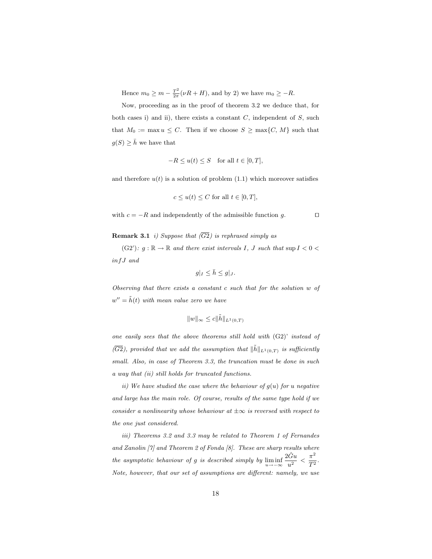Hence  $m_0 \geq m - \frac{T^2}{2\pi}$  $\frac{T^2}{2\pi}(\nu R + H)$ , and by 2) we have  $m_0 \geq -R$ .

Now, proceeding as in the proof of theorem 3.2 we deduce that, for both cases i) and ii), there exists a constant  $C$ , independent of  $S$ , such that  $M_0 := \max u \leq C$ . Then if we choose  $S \geq \max\{C, M\}$  such that  $g(S) \geq \bar{h}$  we have that

$$
-R \le u(t) \le S \quad \text{for all } t \in [0, T],
$$

and therefore  $u(t)$  is a solution of problem (1.1) which moreover satisfies

$$
c \le u(t) \le C \text{ for all } t \in [0, T],
$$

with  $c = -R$  and independently of the admissible function g.  $\square$ 

**Remark 3.1** i) Suppose that  $(\overline{G2})$  is rephrased simply as

(G2'):  $g : \mathbb{R} \to \mathbb{R}$  and there exist intervals I, J such that sup  $I < 0 <$ infJ and

$$
g|_{I} \leq \bar{h} \leq g|_{J}.
$$

Observing that there exists a constant c such that for the solution w of  $w'' = \tilde{h}(t)$  with mean value zero we have

$$
||w||_{\infty} \leq c||\tilde{h}||_{L^1(0,T)}
$$

one easily sees that the above theorems still hold with (G2)' instead of  $(\overline{G2})$ , provided that we add the assumption that  $\|\tilde{h}\|_{L^1(0,T)}$  is sufficiently small. Also, in case of Theorem 3.3, the truncation must be done in such a way that (ii) still holds for truncated functions.

ii) We have studied the case where the behaviour of  $g(u)$  for u negative and large has the main role. Of course, results of the same type hold if we consider a nonlinearity whose behaviour at  $\pm \infty$  is reversed with respect to the one just considered.

iii) Theorems 3.2 and 3.3 may be related to Theorem 1 of Fernandes and Zanolin [7] and Theorem 2 of Fonda [8]. These are sharp results where the asymptotic behaviour of g is described simply by  $\liminf_{u \to -\infty}$  $2\hat{G}u$  $\frac{\hat{G}u}{u^2} < \frac{\pi^2}{T^2}$  $\frac{\pi}{T^2}$ . Note, however, that our set of assumptions are different: namely, we use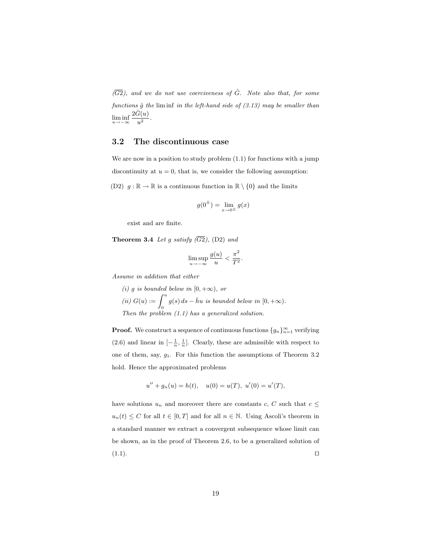$(\overline{G2})$ , and we do not use coerciveness of  $\hat{G}$ . Note also that, for some functions  $\hat{g}$  the lim inf in the left-hand side of (3.13) may be smaller than lim inf  $2\hat{G}(u)$  $rac{u}{u^2}$ .

## 3.2 The discontinuous case

We are now in a position to study problem (1.1) for functions with a jump discontinuity at  $u = 0$ , that is, we consider the following assumption:

(D2)  $g : \mathbb{R} \to \mathbb{R}$  is a continuous function in  $\mathbb{R} \setminus \{0\}$  and the limits

$$
g(0^{\pm}) = \lim_{x \to 0^{\pm}} g(x)
$$

exist and are finite.

**Theorem 3.4** Let g satisfy  $(\overline{G2})$ , (D2) and

$$
\limsup_{u \to -\infty} \frac{g(u)}{u} < \frac{\pi^2}{T^2}
$$

.

Assume in addition that either

(i) g is bounded below in  $[0, +\infty)$ , or (i)  $G(u) := \int_0^u g(s) ds - \bar{h}u$  is bounded below in  $[0, +\infty)$ . Then the problem (1.1) has a generalized solution.

**Proof.** We construct a sequence of continuous functions  ${g_n}_{n=1}^{\infty}$  verifying (2.6) and linear in  $\left[-\frac{1}{n},\frac{1}{n}\right]$ . Clearly, these are admissible with respect to one of them, say,  $g_1$ . For this function the assumptions of Theorem 3.2 hold. Hence the approximated problems

$$
u'' + g_n(u) = h(t), \quad u(0) = u(T), \ u'(0) = u'(T),
$$

have solutions  $u_n$  and moreover there are constants  $c, C$  such that  $c \leq$  $u_n(t) \leq C$  for all  $t \in [0, T]$  and for all  $n \in \mathbb{N}$ . Using Ascoli's theorem in a standard manner we extract a convergent subsequence whose limit can be shown, as in the proof of Theorem 2.6, to be a generalized solution of  $(1.1).$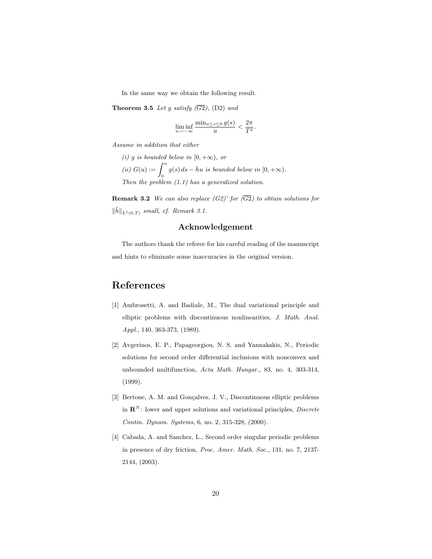In the same way we obtain the following result.

**Theorem 3.5** Let g satisfy  $(\overline{G2})$ , (D2) and

$$
\liminf_{u \to -\infty} \frac{\min_{u \le s \le 0} g(s)}{u} < \frac{2\pi}{T^2}.
$$

Assume in addition that either

(i) g is bounded below in  $[0, +\infty)$ , or (i)  $G(u) := \int_0^u g(s) ds - \bar{h}u$  is bounded below in  $[0, +\infty)$ . Then the problem (1.1) has a generalized solution.

**Remark 3.2** We can also replace  $(G2)'$  for  $(\overline{G2})$  to obtain solutions for  $\|\tilde{h}\|_{L^1(0,T)}$  small, cf. Remark 3.1.

## Acknowledgement

The authors thank the referee for his careful reading of the manuscript and hints to eliminate some inaccuracies in the original version.

# References

- [1] Ambrosetti, A. and Badiale, M., The dual variational principle and elliptic problems with discontinuous nonlinearities, J. Math. Anal. Appl., 140, 363-373, (1989).
- [2] Avgerinos, E. P., Papageorgiou, N. S. and Yannakakis, N., Periodic solutions for second order differential inclusions with nonconvex and unbounded multifunction, Acta Math. Hungar., 83, no. 4, 303-314, (1999).
- [3] Bertone, A. M. and Gonçalves, J. V., Discontinuous elliptic problems in  $\mathbf{R}^N$ : lower and upper solutions and variational principles, *Discrete* Contin. Dynam. Systems, 6, no. 2, 315-328, (2000).
- [4] Cabada, A. and Sanchez, L., Second order singular periodic problems in presence of dry friction, Proc. Amer. Math. Soc., 131, no. 7, 2137- 2144, (2003).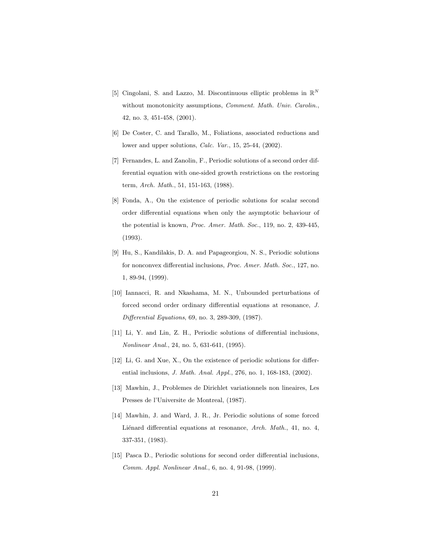- [5] Cingolani, S. and Lazzo, M. Discontinuous elliptic problems in  $\mathbb{R}^N$ without monotonicity assumptions, Comment. Math. Univ. Carolin., 42, no. 3, 451-458, (2001).
- [6] De Coster, C. and Tarallo, M., Foliations, associated reductions and lower and upper solutions, Calc. Var., 15, 25-44, (2002).
- [7] Fernandes, L. and Zanolin, F., Periodic solutions of a second order differential equation with one-sided growth restrictions on the restoring term, Arch. Math., 51, 151-163, (1988).
- [8] Fonda, A., On the existence of periodic solutions for scalar second order differential equations when only the asymptotic behaviour of the potential is known, Proc. Amer. Math. Soc., 119, no. 2, 439-445, (1993).
- [9] Hu, S., Kandilakis, D. A. and Papageorgiou, N. S., Periodic solutions for nonconvex differential inclusions, Proc. Amer. Math. Soc., 127, no. 1, 89-94, (1999).
- [10] Iannacci, R. and Nkashama, M. N., Unbounded perturbations of forced second order ordinary differential equations at resonance, J. Differential Equations, 69, no. 3, 289-309, (1987).
- [11] Li, Y. and Lin, Z. H., Periodic solutions of differential inclusions, Nonlinear Anal., 24, no. 5, 631-641, (1995).
- [12] Li, G. and Xue, X., On the existence of periodic solutions for differential inclusions, J. Math. Anal. Appl., 276, no. 1, 168-183, (2002).
- [13] Mawhin, J., Problemes de Dirichlet variationnels non lineaires, Les Presses de l'Universite de Montreal, (1987).
- [14] Mawhin, J. and Ward, J. R., Jr. Periodic solutions of some forced Liénard differential equations at resonance, Arch. Math., 41, no. 4, 337-351, (1983).
- [15] Pasca D., Periodic solutions for second order differential inclusions, Comm. Appl. Nonlinear Anal., 6, no. 4, 91-98, (1999).